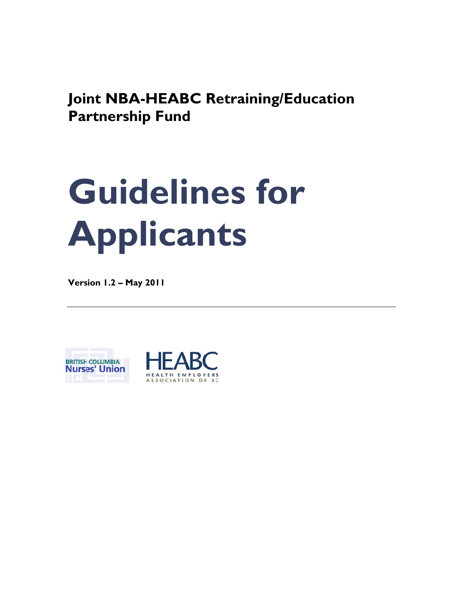**Joint NBA-HEABC Retraining/Education Partnership Fund** 

# **G Gui del line s f for A App plic can ts**

**Vers sion 1.2 – M May 2011** 



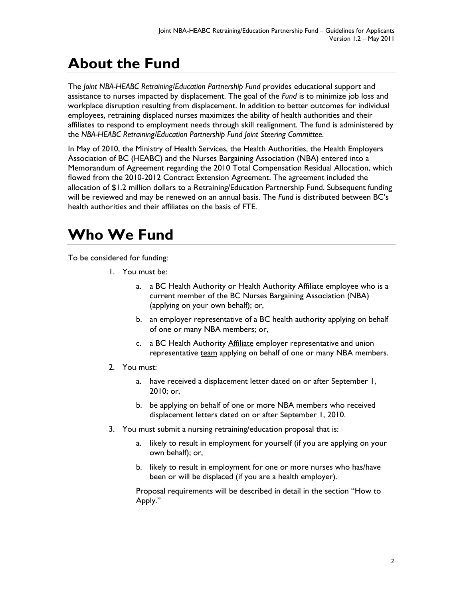## **About the Fund**

The *Joint NBA-HEABC Retraining/Education Partnership Fund* provides educational support and assistance to nurses impacted by displacement. The goal of the *Fund* is to minimize job loss and workplace disruption resulting from displacement. In addition to better outcomes for individual employees, retraining displaced nurses maximizes the ability of health authorities and their affiliates to respond to employment needs through skill realignment. The fund is administered by the *NBA-HEABC Retraining/Education Partnership Fund Joint Steering Committee*.

In May of 2010, the Ministry of Health Services, the Health Authorities, the Health Employers Association of BC (HEABC) and the Nurses Bargaining Association (NBA) entered into a Memorandum of Agreement regarding the 2010 Total Compensation Residual Allocation, which flowed from the 2010-2012 Contract Extension Agreement. The agreement included the allocation of \$1.2 million dollars to a Retraining/Education Partnership Fund. Subsequent funding will be reviewed and may be renewed on an annual basis. The *Fund* is distributed between BC's health authorities and their affiliates on the basis of FTE.

## **Who We Fund**

To be considered for funding:

- 1. You must be:
	- a. a BC Health Authority or Health Authority Affiliate employee who is a current member of the BC Nurses Bargaining Association (NBA) (applying on your own behalf); or,
	- b. an employer representative of a BC health authority applying on behalf of one or many NBA members; or,
	- c. a BC Health Authority **Affiliate** employer representative and union representative team applying on behalf of one or many NBA members.
- 2. You must:
	- a. have received a displacement letter dated on or after September 1, 2010; or,
	- b. be applying on behalf of one or more NBA members who received displacement letters dated on or after September 1, 2010.
- 3. You must submit a nursing retraining/education proposal that is:
	- a. likely to result in employment for yourself (if you are applying on your own behalf); or,
	- b. likely to result in employment for one or more nurses who has/have been or will be displaced (if you are a health employer).

Proposal requirements will be described in detail in the section "How to Apply."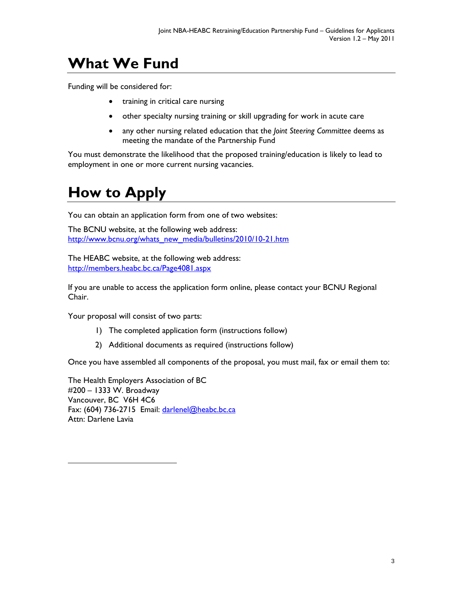## **What We Fund**

Funding will be considered for:

- training in critical care nursing
- other specialty nursing training or skill upgrading for work in acute care
- any other nursing related education that the *Joint Steering Committee* deems as meeting the mandate of the Partnership Fund

You must demonstrate the likelihood that the proposed training/education is likely to lead to employment in one or more current nursing vacancies.

## **How to Apply**

You can obtain an application form from one of two websites:

The BCNU website, at the following web address: http://www.bcnu.org/whats\_new\_media/bulletins/2010/10-21.htm

The HEABC website, at the following web address: http://members.heabc.bc.ca/Page4081.aspx

If you are unable to access the application form online, please contact your BCNU Regional Chair.

Your proposal will consist of two parts:

- 1) The completed application form (instructions follow)
- 2) Additional documents as required (instructions follow)

Once you have assembled all components of the proposal, you must mail, fax or email them to:

The Health Employers Association of BC #200 – 1333 W. Broadway Vancouver, BC V6H 4C6 Fax: (604) 736-2715 Email: darlenel@heabc.bc.ca Attn: Darlene Lavia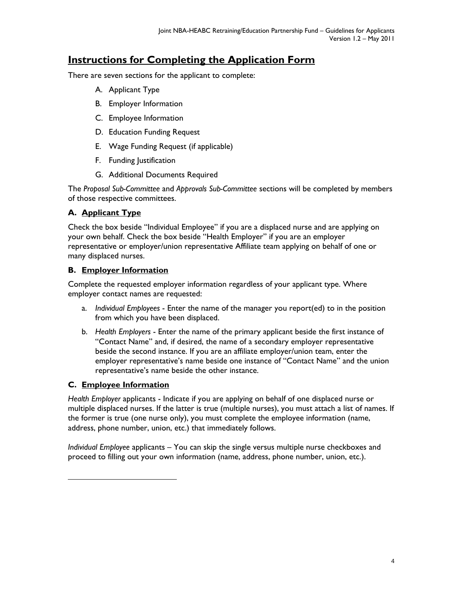### **Instructions for Completing the Application Form**

There are seven sections for the applicant to complete:

- A. Applicant Type
- B. Employer Information
- C. Employee Information
- D. Education Funding Request
- E. Wage Funding Request (if applicable)
- F. Funding Justification
- G. Additional Documents Required

The *Proposal Sub-Committee* and *Approvals Sub-Committee* sections will be completed by members of those respective committees.

#### **A. Applicant Type**

Check the box beside "Individual Employee" if you are a displaced nurse and are applying on your own behalf. Check the box beside "Health Employer" if you are an employer representative or employer/union representative Affiliate team applying on behalf of one or many displaced nurses.

#### **B. Employer Information**

Complete the requested employer information regardless of your applicant type. Where employer contact names are requested:

- a. *Individual Employees* Enter the name of the manager you report(ed) to in the position from which you have been displaced.
- b. *Health Employers* Enter the name of the primary applicant beside the first instance of "Contact Name" and, if desired, the name of a secondary employer representative beside the second instance. If you are an affiliate employer/union team, enter the employer representative's name beside one instance of "Contact Name" and the union representative's name beside the other instance.

#### **C. Employee Information**

*Health Employer* applicants - Indicate if you are applying on behalf of one displaced nurse or multiple displaced nurses. If the latter is true (multiple nurses), you must attach a list of names. If the former is true (one nurse only), you must complete the employee information (name, address, phone number, union, etc.) that immediately follows.

*Individual Employee* applicants – You can skip the single versus multiple nurse checkboxes and proceed to filling out your own information (name, address, phone number, union, etc.).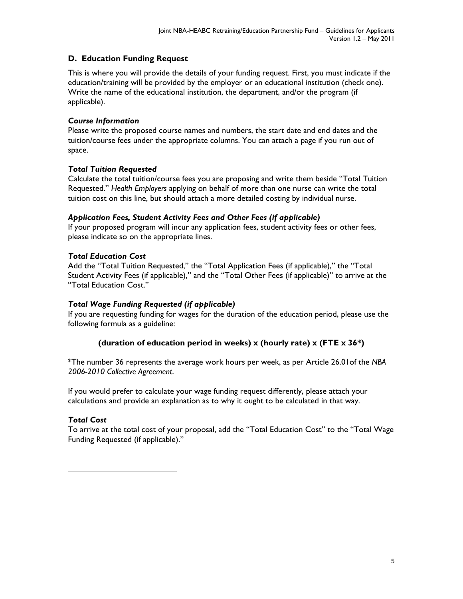#### **D. Education Funding Request**

This is where you will provide the details of your funding request. First, you must indicate if the education/training will be provided by the employer or an educational institution (check one). Write the name of the educational institution, the department, and/or the program (if applicable).

#### *Course Information*

Please write the proposed course names and numbers, the start date and end dates and the tuition/course fees under the appropriate columns. You can attach a page if you run out of space.

#### *Total Tuition Requested*

Calculate the total tuition/course fees you are proposing and write them beside "Total Tuition Requested." *Health Employers* applying on behalf of more than one nurse can write the total tuition cost on this line, but should attach a more detailed costing by individual nurse.

#### *Application Fees, Student Activity Fees and Other Fees (if applicable)*

If your proposed program will incur any application fees, student activity fees or other fees, please indicate so on the appropriate lines.

#### *Total Education Cost*

Add the "Total Tuition Requested," the "Total Application Fees (if applicable)," the "Total Student Activity Fees (if applicable)," and the "Total Other Fees (if applicable)" to arrive at the "Total Education Cost."

#### *Total Wage Funding Requested (if applicable)*

If you are requesting funding for wages for the duration of the education period, please use the following formula as a guideline:

#### **(duration of education period in weeks) x (hourly rate) x (FTE x 36\*)**

\*The number 36 represents the average work hours per week, as per Article 26.01of the *NBA 2006-2010 Collective Agreement*.

If you would prefer to calculate your wage funding request differently, please attach your calculations and provide an explanation as to why it ought to be calculated in that way.

#### *Total Cost*

To arrive at the total cost of your proposal, add the "Total Education Cost" to the "Total Wage Funding Requested (if applicable)."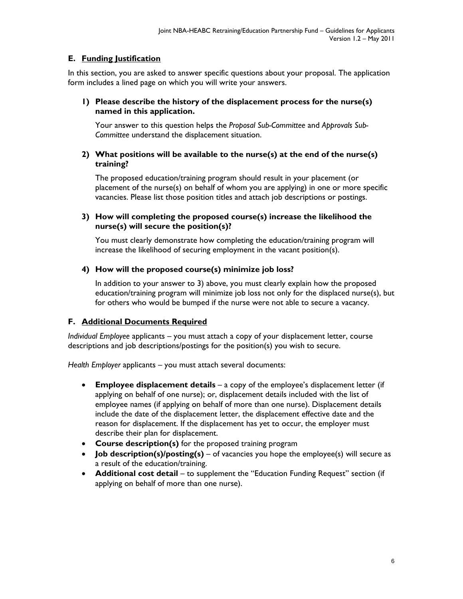#### **E. Funding Justification**

In this section, you are asked to answer specific questions about your proposal. The application form includes a lined page on which you will write your answers.

#### **1) Please describe the history of the displacement process for the nurse(s) named in this application.**

Your answer to this question helps the *Proposal Sub-Committee* and *Approvals Sub-Committee* understand the displacement situation.

#### **2) What positions will be available to the nurse(s) at the end of the nurse(s) training?**

The proposed education/training program should result in your placement (or placement of the nurse(s) on behalf of whom you are applying) in one or more specific vacancies. Please list those position titles and attach job descriptions or postings.

#### **3) How will completing the proposed course(s) increase the likelihood the nurse(s) will secure the position(s)?**

You must clearly demonstrate how completing the education/training program will increase the likelihood of securing employment in the vacant position(s).

#### **4) How will the proposed course(s) minimize job loss?**

In addition to your answer to 3) above, you must clearly explain how the proposed education/training program will minimize job loss not only for the displaced nurse(s), but for others who would be bumped if the nurse were not able to secure a vacancy.

#### **F. Additional Documents Required**

*Individual Employee* applicants – you must attach a copy of your displacement letter, course descriptions and job descriptions/postings for the position(s) you wish to secure.

*Health Employer* applicants – you must attach several documents:

- **Employee displacement details** a copy of the employee's displacement letter (if applying on behalf of one nurse); or, displacement details included with the list of employee names (if applying on behalf of more than one nurse). Displacement details include the date of the displacement letter, the displacement effective date and the reason for displacement. If the displacement has yet to occur, the employer must describe their plan for displacement.
- **Course description(s)** for the proposed training program
- **Job description(s)/posting(s)**  of vacancies you hope the employee(s) will secure as a result of the education/training.
- **Additional cost detail** to supplement the "Education Funding Request" section (if applying on behalf of more than one nurse).